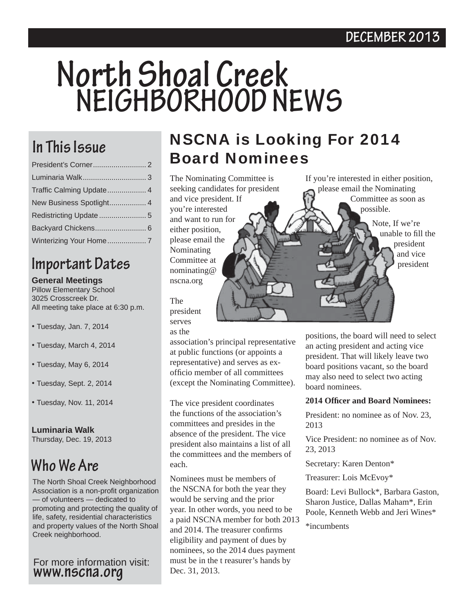## **North Shoal Creek NEIGHBORHOOD NEWS**

| Traffic Calming Update 4 |  |
|--------------------------|--|
| New Business Spotlight 4 |  |
| Redistricting Update  5  |  |
|                          |  |
|                          |  |

## **Important Dates**

#### **General Meetings**

Pillow Elementary School 3025 Crosscreek Dr. All meeting take place at 6:30 p.m.

- Tuesday, Jan. 7, 2014
- Tuesday, March 4, 2014
- Tuesday, May 6, 2014
- Tuesday, Sept. 2, 2014
- Tuesday, Nov. 11, 2014

**Luminaria Walk** 

Thursday, Dec. 19, 2013

### **Who We Are**

The North Shoal Creek Neighborhood Association is a non-profit organization — of volunteers — dedicated to promoting and protecting the quality of life, safety, residential characteristics and property values of the North Shoal Creek neighborhood.

For more information visit: **www.nscna.org**

### In This Issue **NSCNA is Looking For 2014** Board Nominees

The Nominating Committee is seeking candidates for president and vice president. If you're interested and want to run for either position, please email the Nominating Committee at nominating@ nscna.org

The president serves

as the

association's principal representative at public functions (or appoints a representative) and serves as exofficio member of all committees (except the Nominating Committee).

The vice president coordinates the functions of the association's committees and presides in the absence of the president. The vice president also maintains a list of all the committees and the members of each.

Nominees must be members of the NSCNA for both the year they would be serving and the prior year. In other words, you need to be a paid NSCNA member for both 2013 and 2014. The treasurer confirms eligibility and payment of dues by nominees, so the 2014 dues payment must be in the t reasurer's hands by Dec. 31, 2013.

positions, the board will need to select an acting president and acting vice president. That will likely leave two board positions vacant, so the board may also need to select two acting board nominees.

If you're interested in either position, please email the Nominating

possible.

Committee as soon as

Note, If we're

unable to fill the president and vice president

#### **2014 Offi cer and Board Nominees:**

President: no nominee as of Nov. 23, 2013

Vice President: no nominee as of Nov. 23, 2013

Secretary: Karen Denton\*

Treasurer: Lois McEvoy\*

Board: Levi Bullock\*, Barbara Gaston, Sharon Justice, Dallas Maham\*, Erin Poole, Kenneth Webb and Jeri Wines\*

\*incumbents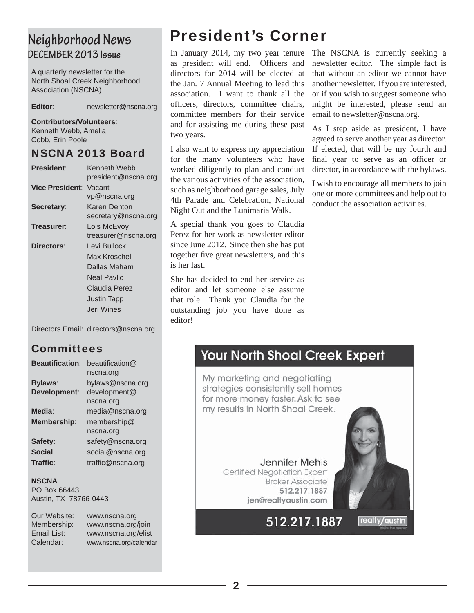### **Neighborhood News DECEMBER 2013 Issue**

A quarterly newsletter for the North Shoal Creek Neighborhood Association (NSCNA)

**Editor**: newsletter@nscna.org

#### **Contributors/Volunteers**:

Kenneth Webb, Amelia Cobb, Erin Poole

#### NSCNA 2013 Board

| <b>President:</b>      | Kenneth Webb<br>president@nscna.org                              |
|------------------------|------------------------------------------------------------------|
| <b>Vice President:</b> | Vacant<br>vp@nscna.org                                           |
| Secretary:             | Karen Denton<br>secretary@nscna.org                              |
| Treasurer:             | Lois McEvoy<br>treasurer@nscna.org                               |
| Directors:             | Levi Bullock<br>Max Kroschel<br>Dallas Maham                     |
|                        | Neal Pavlic<br>Claudia Perez<br><b>Justin Tapp</b><br>Jeri Wines |
|                        |                                                                  |

Directors Email: directors@nscna.org

### **Committees**

| <b>Beautification:</b> | beautification@   |
|------------------------|-------------------|
|                        | nscna.org         |
| <b>Bylaws:</b>         | bylaws@nscna.org  |
| Development:           | development@      |
|                        | nscna.org         |
| Media:                 | media@nscna.org   |
| <b>Membership:</b>     | membership $@$    |
|                        | nscna.org         |
| Safety:                | safety@nscna.org  |
| Social:                | social@nscna.org  |
| Traffic:               | traffic@nscna.org |

**NSCNA** PO Box 66443 Austin, TX 78766-0443

| Our Website:<br>Membership: | www.nscna.org<br>www.nscna.org/join |
|-----------------------------|-------------------------------------|
| Email List:                 | www.nscna.org/elist                 |
| Calendar:                   | www.nscna.org/calendar              |

### President's Corner

In January 2014, my two year tenure The NSCNA is currently seeking a as president will end. Officers and directors for 2014 will be elected at the Jan. 7 Annual Meeting to lead this association. I want to thank all the officers, directors, committee chairs, committee members for their service and for assisting me during these past two years.

I also want to express my appreciation for the many volunteers who have worked diligently to plan and conduct the various activities of the association, such as neighborhood garage sales, July 4th Parade and Celebration, National Night Out and the Lunimaria Walk.

A special thank you goes to Claudia Perez for her work as newsletter editor since June 2012. Since then she has put together five great newsletters, and this is her last.

She has decided to end her service as editor and let someone else assume that role. Thank you Claudia for the outstanding job you have done as editor!

newsletter editor. The simple fact is that without an editor we cannot have another newsletter. If you are interested, or if you wish to suggest someone who might be interested, please send an email to newsletter@nscna.org.

As I step aside as president, I have agreed to serve another year as director. If elected, that will be my fourth and final year to serve as an officer or director, in accordance with the bylaws.

I wish to encourage all members to join one or more committees and help out to conduct the association activities.

### **Your North Shoal Creek Expert**

My marketing and negotiating strategies consistently sell homes for more money faster. Ask to see my results in North Shoal Creek.

> **Jennifer Mehis** Certified Negotiation Expert **Broker Associate** 512.217.1887 jen@realtyaustin.com



512.217.1887

realty/austin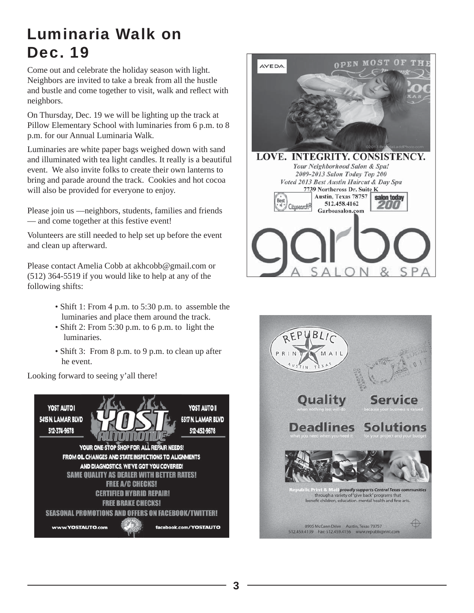### Luminaria Walk on Dec. 19

Come out and celebrate the holiday season with light. Neighbors are invited to take a break from all the hustle and bustle and come together to visit, walk and reflect with neighbors.

On Thursday, Dec. 19 we will be lighting up the track at Pillow Elementary School with luminaries from 6 p.m. to 8 p.m. for our Annual Luminaria Walk.

Luminaries are white paper bags weighed down with sand and illuminated with tea light candles. It really is a beautiful event. We also invite folks to create their own lanterns to bring and parade around the track. Cookies and hot cocoa will also be provided for everyone to enjoy.

Please join us —neighbors, students, families and friends — and come together at this festive event!

Volunteers are still needed to help set up before the event and clean up afterward.

Please contact Amelia Cobb at akhcobb@gmail.com or (512) 364-5519 if you would like to help at any of the following shifts:

- Shift 1: From 4 p.m. to 5:30 p.m. to assemble the luminaries and place them around the track.
- Shift 2: From 5:30 p.m. to 6 p.m. to light the luminaries.
- Shift 3: From 8 p.m. to 9 p.m. to clean up after he event.

Looking forward to seeing y'all there!





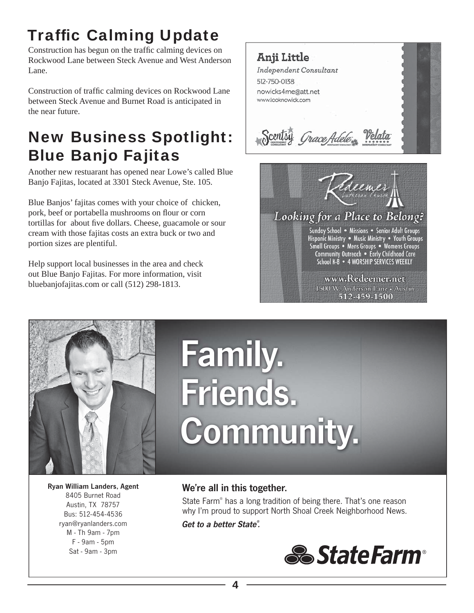### **Traffic Calming Update**

Construction has begun on the traffic calming devices on Rockwood Lane between Steck Avenue and West Anderson Lane.

Construction of traffic calming devices on Rockwood Lane between Steck Avenue and Burnet Road is anticipated in the near future.

### New Business Spotlight: Blue Banjo Fajitas

Another new restuarant has opened near Lowe's called Blue Banjo Fajitas, located at 3301 Steck Avenue, Ste. 105.

Blue Banjos' fajitas comes with your choice of chicken, pork, beef or portabella mushrooms on flour or corn tortillas for about five dollars. Cheese, guacamole or sour cream with those fajitas costs an extra buck or two and portion sizes are plentiful.

Help support local businesses in the area and check out Blue Banjo Fajitas. For more information, visit bluebanjofajitas.com or call (512) 298-1813.

Anji Little Independent Consultant 512-750-0138 nowicks4me@att.net www.looknowick.com Scentsy Grace Adele





# Family. Friends. Community.

Ryan William Landers, Agent 8405 Burnet Road Austin, TX 78757 Bus: 512-454-4536 ryan@ryanlanders.com M - Th 9am - 7pm F - 9am - 5pm Sat - 9am - 3pm

### We're all in this together.

State Farm® has a long tradition of being there. That's one reason why I'm proud to support North Shoal Creek Neighborhood News.

*Get to a better State® .* 

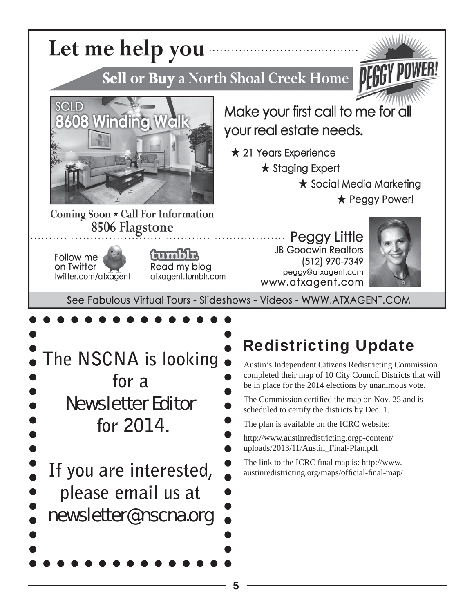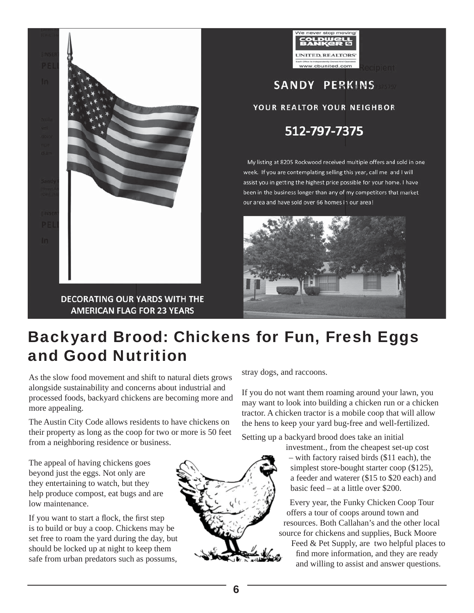



**SANDY PERKINS** 

#### YOUR REALTOR YOUR NEIGHBOR

512-797-7375

My listing at 8205 Rockwood received multiple offers and sold in one week. If you are contemplating selling this year, call me and I will assist you in getting the highest price possible for your home. I have been in the business longer than any of my competitors that market our area and have sold over 66 homes in our area!



### Backyard Brood: Chickens for Fun, Fresh Eggs and Good Nutrition

As the slow food movement and shift to natural diets grows alongside sustainability and concerns about industrial and processed foods, backyard chickens are becoming more and more appealing.

The Austin City Code allows residents to have chickens on their property as long as the coop for two or more is 50 feet from a neighboring residence or business.

The appeal of having chickens goes beyond just the eggs. Not only are they entertaining to watch, but they help produce compost, eat bugs and are low maintenance.

If you want to start a flock, the first step is to build or buy a coop. Chickens may be set free to roam the yard during the day, but should be locked up at night to keep them safe from urban predators such as possums,

stray dogs, and raccoons.

If you do not want them roaming around your lawn, you may want to look into building a chicken run or a chicken tractor. A chicken tractor is a mobile coop that will allow the hens to keep your yard bug-free and well-fertilized.

Setting up a backyard brood does take an initial

investment., from the cheapest set-up cost – with factory raised birds (\$11 each), the simplest store-bought starter coop (\$125), a feeder and waterer (\$15 to \$20 each) and basic feed – at a little over \$200.

Every year, the Funky Chicken Coop Tour offers a tour of coops around town and resources. Both Callahan's and the other local source for chickens and supplies, Buck Moore

Feed & Pet Supply, are two helpful places to find more information, and they are ready and willing to assist and answer questions.

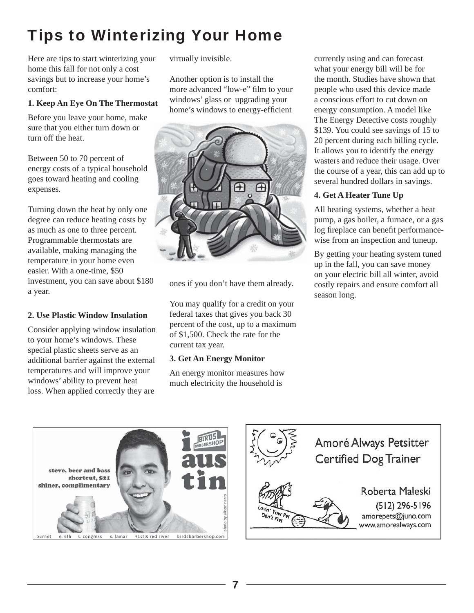### Tips to Winterizing Your Home

Here are tips to start winterizing your home this fall for not only a cost savings but to increase your home's comfort:

#### **1. Keep An Eye On The Thermostat**

Before you leave your home, make sure that you either turn down or turn off the heat.

Between 50 to 70 percent of energy costs of a typical household goes toward heating and cooling expenses.

Turning down the heat by only one degree can reduce heating costs by as much as one to three percent. Programmable thermostats are available, making managing the temperature in your home even easier. With a one-time, \$50 investment, you can save about \$180 a year.

#### **2. Use Plastic Window Insulation**

Consider applying window insulation to your home's windows. These special plastic sheets serve as an additional barrier against the external temperatures and will improve your windows' ability to prevent heat loss. When applied correctly they are

virtually invisible.

Another option is to install the more advanced "low-e" film to your windows' glass or upgrading your home's windows to energy-efficient



ones if you don't have them already.

You may qualify for a credit on your federal taxes that gives you back 30 percent of the cost, up to a maximum of \$1,500. Check the rate for the current tax year.

#### **3. Get An Energy Monitor**

An energy monitor measures how much electricity the household is

currently using and can forecast what your energy bill will be for the month. Studies have shown that people who used this device made a conscious effort to cut down on energy consumption. A model like The Energy Detective costs roughly \$139. You could see savings of 15 to 20 percent during each billing cycle. It allows you to identify the energy wasters and reduce their usage. Over the course of a year, this can add up to several hundred dollars in savings.

#### **4. Get A Heater Tune Up**

All heating systems, whether a heat pump, a gas boiler, a furnace, or a gas log fireplace can benefit performancewise from an inspection and tuneup.

By getting your heating system tuned up in the fall, you can save money on your electric bill all winter, avoid costly repairs and ensure comfort all season long.